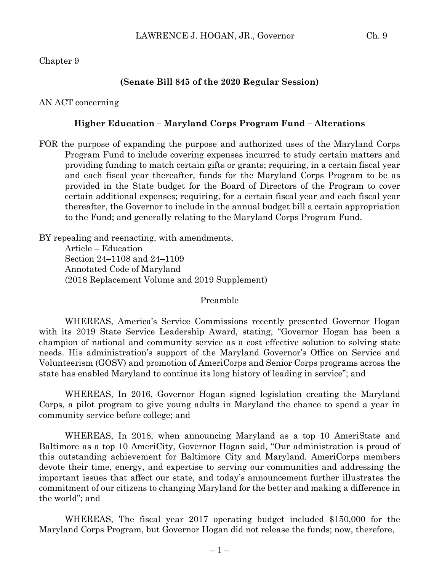### Chapter 9

#### **(Senate Bill 845 of the 2020 Regular Session)**

### AN ACT concerning

### **Higher Education – Maryland Corps Program Fund – Alterations**

FOR the purpose of expanding the purpose and authorized uses of the Maryland Corps Program Fund to include covering expenses incurred to study certain matters and providing funding to match certain gifts or grants; requiring, in a certain fiscal year and each fiscal year thereafter, funds for the Maryland Corps Program to be as provided in the State budget for the Board of Directors of the Program to cover certain additional expenses; requiring, for a certain fiscal year and each fiscal year thereafter, the Governor to include in the annual budget bill a certain appropriation to the Fund; and generally relating to the Maryland Corps Program Fund.

BY repealing and reenacting, with amendments, Article – Education Section 24–1108 and 24–1109 Annotated Code of Maryland (2018 Replacement Volume and 2019 Supplement)

Preamble

WHEREAS, America's Service Commissions recently presented Governor Hogan with its 2019 State Service Leadership Award, stating, "Governor Hogan has been a champion of national and community service as a cost effective solution to solving state needs. His administration's support of the Maryland Governor's Office on Service and Volunteerism (GOSV) and promotion of AmeriCorps and Senior Corps programs across the state has enabled Maryland to continue its long history of leading in service"; and

WHEREAS, In 2016, Governor Hogan signed legislation creating the Maryland Corps, a pilot program to give young adults in Maryland the chance to spend a year in community service before college; and

WHEREAS, In 2018, when announcing Maryland as a top 10 AmeriState and Baltimore as a top 10 AmeriCity, Governor Hogan said, "Our administration is proud of this outstanding achievement for Baltimore City and Maryland. AmeriCorps members devote their time, energy, and expertise to serving our communities and addressing the important issues that affect our state, and today's announcement further illustrates the commitment of our citizens to changing Maryland for the better and making a difference in the world"; and

WHEREAS, The fiscal year 2017 operating budget included \$150,000 for the Maryland Corps Program, but Governor Hogan did not release the funds; now, therefore,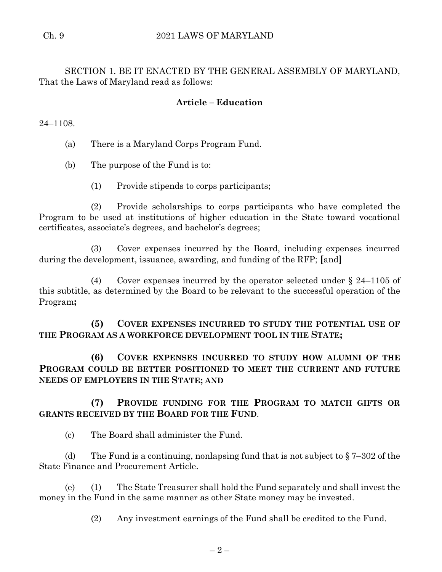SECTION 1. BE IT ENACTED BY THE GENERAL ASSEMBLY OF MARYLAND, That the Laws of Maryland read as follows:

# **Article – Education**

24–1108.

(a) There is a Maryland Corps Program Fund.

(b) The purpose of the Fund is to:

(1) Provide stipends to corps participants;

(2) Provide scholarships to corps participants who have completed the Program to be used at institutions of higher education in the State toward vocational certificates, associate's degrees, and bachelor's degrees;

(3) Cover expenses incurred by the Board, including expenses incurred during the development, issuance, awarding, and funding of the RFP; **[**and**]**

(4) Cover expenses incurred by the operator selected under § 24–1105 of this subtitle, as determined by the Board to be relevant to the successful operation of the Program**;**

**(5) COVER EXPENSES INCURRED TO STUDY THE POTENTIAL USE OF THE PROGRAM AS A WORKFORCE DEVELOPMENT TOOL IN THE STATE;**

**(6) COVER EXPENSES INCURRED TO STUDY HOW ALUMNI OF THE PROGRAM COULD BE BETTER POSITIONED TO MEET THE CURRENT AND FUTURE NEEDS OF EMPLOYERS IN THE STATE; AND** 

# **(7) PROVIDE FUNDING FOR THE PROGRAM TO MATCH GIFTS OR GRANTS RECEIVED BY THE BOARD FOR THE FUND**.

(c) The Board shall administer the Fund.

(d) The Fund is a continuing, nonlapsing fund that is not subject to  $\S 7-302$  of the State Finance and Procurement Article.

(e) (1) The State Treasurer shall hold the Fund separately and shall invest the money in the Fund in the same manner as other State money may be invested.

(2) Any investment earnings of the Fund shall be credited to the Fund.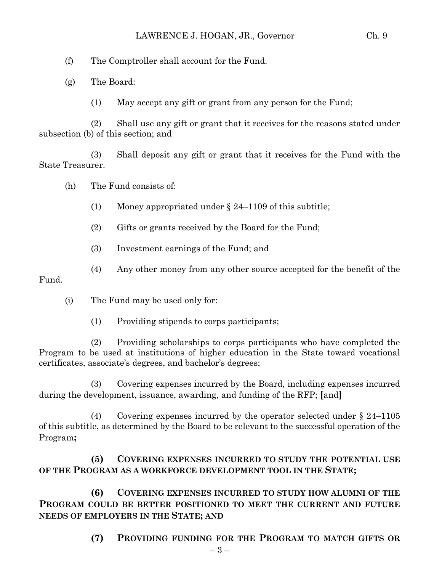(f) The Comptroller shall account for the Fund.

(g) The Board:

(1) May accept any gift or grant from any person for the Fund;

(2) Shall use any gift or grant that it receives for the reasons stated under subsection (b) of this section; and

(3) Shall deposit any gift or grant that it receives for the Fund with the State Treasurer.

(h) The Fund consists of:

(1) Money appropriated under § 24–1109 of this subtitle;

(2) Gifts or grants received by the Board for the Fund;

(3) Investment earnings of the Fund; and

(4) Any other money from any other source accepted for the benefit of the

Fund.

(i) The Fund may be used only for:

(1) Providing stipends to corps participants;

(2) Providing scholarships to corps participants who have completed the Program to be used at institutions of higher education in the State toward vocational certificates, associate's degrees, and bachelor's degrees;

(3) Covering expenses incurred by the Board, including expenses incurred during the development, issuance, awarding, and funding of the RFP; **[**and**]**

(4) Covering expenses incurred by the operator selected under § 24–1105 of this subtitle, as determined by the Board to be relevant to the successful operation of the Program**;**

**(5) COVERING EXPENSES INCURRED TO STUDY THE POTENTIAL USE OF THE PROGRAM AS A WORKFORCE DEVELOPMENT TOOL IN THE STATE;**

**(6) COVERING EXPENSES INCURRED TO STUDY HOW ALUMNI OF THE PROGRAM COULD BE BETTER POSITIONED TO MEET THE CURRENT AND FUTURE NEEDS OF EMPLOYERS IN THE STATE; AND** 

**(7) PROVIDING FUNDING FOR THE PROGRAM TO MATCH GIFTS OR**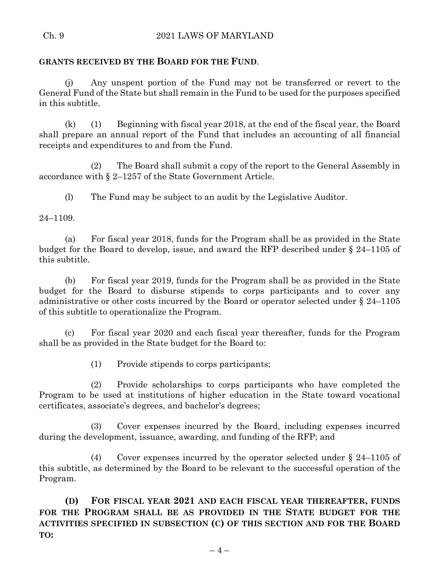### Ch. 9 2021 LAWS OF MARYLAND

### **GRANTS RECEIVED BY THE BOARD FOR THE FUND**.

(j) Any unspent portion of the Fund may not be transferred or revert to the General Fund of the State but shall remain in the Fund to be used for the purposes specified in this subtitle.

(k) (1) Beginning with fiscal year 2018, at the end of the fiscal year, the Board shall prepare an annual report of the Fund that includes an accounting of all financial receipts and expenditures to and from the Fund.

(2) The Board shall submit a copy of the report to the General Assembly in accordance with § 2–1257 of the State Government Article.

(l) The Fund may be subject to an audit by the Legislative Auditor.

24–1109.

(a) For fiscal year 2018, funds for the Program shall be as provided in the State budget for the Board to develop, issue, and award the RFP described under § 24–1105 of this subtitle.

(b) For fiscal year 2019, funds for the Program shall be as provided in the State budget for the Board to disburse stipends to corps participants and to cover any administrative or other costs incurred by the Board or operator selected under § 24–1105 of this subtitle to operationalize the Program.

(c) For fiscal year 2020 and each fiscal year thereafter, funds for the Program shall be as provided in the State budget for the Board to:

(1) Provide stipends to corps participants;

(2) Provide scholarships to corps participants who have completed the Program to be used at institutions of higher education in the State toward vocational certificates, associate's degrees, and bachelor's degrees;

(3) Cover expenses incurred by the Board, including expenses incurred during the development, issuance, awarding, and funding of the RFP; and

(4) Cover expenses incurred by the operator selected under § 24–1105 of this subtitle, as determined by the Board to be relevant to the successful operation of the Program.

**(D) FOR FISCAL YEAR 2021 AND EACH FISCAL YEAR THEREAFTER, FUNDS FOR THE PROGRAM SHALL BE AS PROVIDED IN THE STATE BUDGET FOR THE ACTIVITIES SPECIFIED IN SUBSECTION (C) OF THIS SECTION AND FOR THE BOARD TO:**